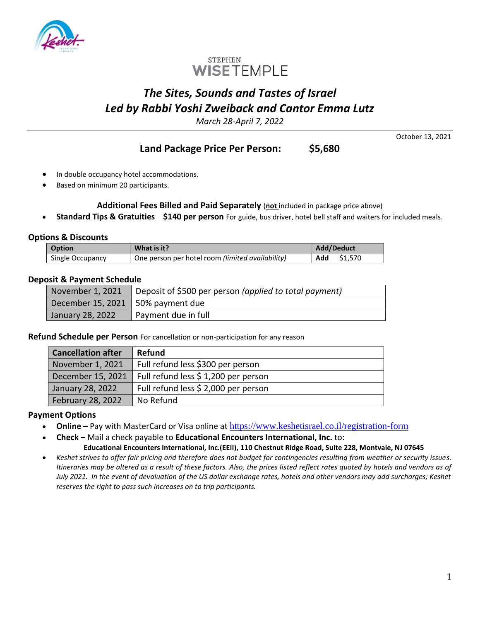



# *The Sites, Sounds and Tastes of Israel Led by Rabbi Yoshi Zweiback and Cantor Emma Lutz*

*March 28-April 7, 2022*

**Land Package Price Per Person: \$5,680**

October 13, 2021

- In double occupancy hotel accommodations.
- Based on minimum 20 participants.

#### **Additional Fees Billed and Paid Separately** (**not** included in package price above)

• **Standard Tips & Gratuities \$140 per person** For guide, bus driver, hotel bell staff and waiters for included meals.

#### **Options & Discounts**

| <b>Option</b>    | What is it?                                      | Add/Deduct     |
|------------------|--------------------------------------------------|----------------|
| Single Occupancy | One person per hotel room (limited availability) | \$1.570<br>Add |

## **Deposit & Payment Schedule**

| November 1, 2021                    | Deposit of \$500 per person (applied to total payment) |
|-------------------------------------|--------------------------------------------------------|
| December 15, 2021   50% payment due |                                                        |
| January 28, 2022                    | Payment due in full                                    |

**Refund Schedule per Person** For cancellation or non-participation for any reason

| <b>Cancellation after</b> | <b>Refund</b>                        |
|---------------------------|--------------------------------------|
| November 1, 2021          | Full refund less \$300 per person    |
| December 15, 2021         | Full refund less \$ 1,200 per person |
| January 28, 2022          | Full refund less \$ 2,000 per person |
| February 28, 2022         | No Refund                            |

## **Payment Options**

- **Online** Pay with MasterCard or Visa online at <https://www.keshetisrael.co.il/registration-form>
- **Check –** Mail a check payable to **Educational Encounters International, Inc.** to: **Educational Encounters International, Inc.(EEII), 110 Chestnut Ridge Road, Suite 228, Montvale, NJ 07645**
- *Keshet strives to offer fair pricing and therefore does not budget for contingencies resulting from weather or security issues. Itineraries may be altered as a result of these factors. Also, the prices listed reflect rates quoted by hotels and vendors as of July 2021. In the event of devaluation of the US dollar exchange rates, hotels and other vendors may add surcharges; Keshet reserves the right to pass such increases on to trip participants.*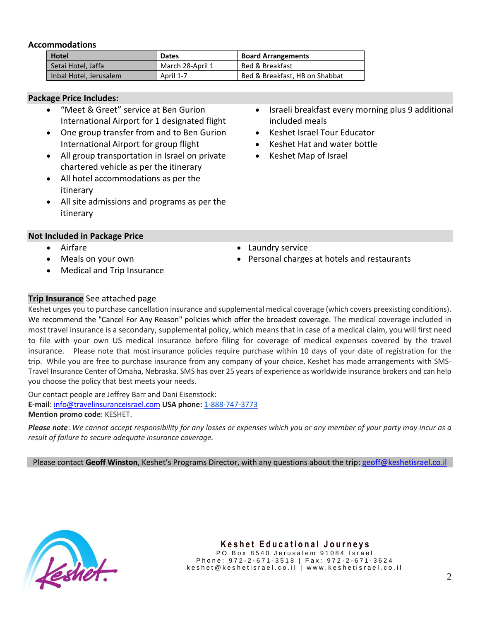#### **Accommodations**

| <b>Hotel</b>           | <b>Dates</b>     | <b>Board Arrangements</b>      |
|------------------------|------------------|--------------------------------|
| Setai Hotel, Jaffa     | March 28-April 1 | Bed & Breakfast                |
| Inbal Hotel, Jerusalem | April 1-7        | Bed & Breakfast, HB on Shabbat |

#### **Package Price Includes:**

- "Meet & Greet" service at Ben Gurion International Airport for 1 designated flight
- One group transfer from and to Ben Gurion International Airport for group flight
- All group transportation in Israel on private chartered vehicle as per the itinerary
- All hotel accommodations as per the itinerary
- All site admissions and programs as per the itinerary

#### **Not Included in Package Price**

- Airfare
- Meals on your own
- Medical and Trip Insurance
- Israeli breakfast every morning plus 9 additional included meals
- Keshet Israel Tour Educator
- Keshet Hat and water bottle
- Keshet Map of Israel

- Laundry service
- Personal charges at hotels and restaurants

## **Trip Insurance** See attached page

Keshet urges you to purchase cancellation insurance and supplemental medical coverage (which covers preexisting conditions). We recommend the "Cancel For Any Reason" policies which offer the broadest coverage. The medical coverage included in most travel insurance is a secondary, supplemental policy, which means that in case of a medical claim, you will first need to file with your own US medical insurance before filing for coverage of medical expenses covered by the travel insurance. Please note that most insurance policies require purchase within 10 days of your date of registration for the trip. While you are free to purchase insurance from any company of your choice, Keshet has made arrangements with SMS-Travel Insurance Center of Omaha, Nebraska. SMS has over 25 years of experience as worldwide insurance brokers and can help you choose the policy that best meets your needs.

Our contact people are Jeffrey Barr and Dani Eisenstock: **E-mail**: [info@travelinsuranceisrael.com](mailto:info@travelinsuranceisrael.com) **USA phone:** [1-888-747-3773](tel:1-888-747-3773) **Mention promo code**: KESHET.

*Please note*: *We cannot accept responsibility for any losses or expenses which you or any member of your party may incur as a result of failure to secure adequate insurance coverage.*

Please contact **Geoff Winston**, Keshet's Programs Director, with any questions about the trip: [geoff@keshetisrael.co.il](mailto:danny@keshetisrael.co.il)



## **Keshet Educational Journeys**

PO Box 8540 Jerusalem 91084 Israel Phone: 972-2-671-3518 | Fax: 972-2-671-3624 k e s h e t @ k e s h e t i s r a e l . c o . i l | w w w . k e s h e t i s r a e l . c o . i l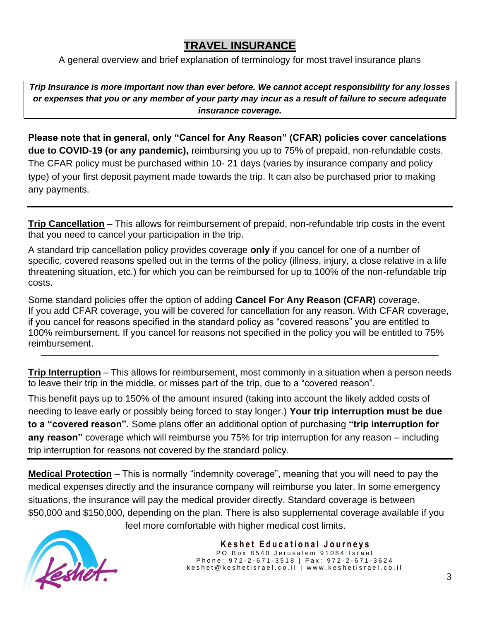## **TRAVEL INSURANCE**

A general overview and brief explanation of terminology for most travel insurance plans

*Trip Insurance is more important now than ever before. We cannot accept responsibility for any losses or expenses that you or any member of your party may incur as a result of failure to secure adequate insurance coverage.*

**Please note that in general, only "Cancel for Any Reason" (CFAR) policies cover cancelations due to COVID-19 (or any pandemic),** reimbursing you up to 75% of prepaid, non-refundable costs. The CFAR policy must be purchased within 10- 21 days (varies by insurance company and policy type) of your first deposit payment made towards the trip. It can also be purchased prior to making any payments.

**Trip Cancellation** – This allows for reimbursement of prepaid, non-refundable trip costs in the event that you need to cancel your participation in the trip.

A standard trip cancellation policy provides coverage **only** if you cancel for one of a number of specific, covered reasons spelled out in the terms of the policy (illness, injury, a close relative in a life threatening situation, etc.) for which you can be reimbursed for up to 100% of the non-refundable trip costs.

Some standard policies offer the option of adding **Cancel For Any Reason (CFAR)** coverage. If you add CFAR coverage, you will be covered for cancellation for any reason. With CFAR coverage, if you cancel for reasons specified in the standard policy as "covered reasons" you are entitled to 100% reimbursement. If you cancel for reasons not specified in the policy you will be entitled to 75% reimbursement.

**Trip Interruption** – This allows for reimbursement, most commonly in a situation when a person needs to leave their trip in the middle, or misses part of the trip, due to a "covered reason".

\_\_\_\_\_\_\_\_\_\_\_\_\_\_\_\_\_\_\_\_\_\_\_\_\_\_\_\_\_\_\_\_\_\_\_\_\_\_\_\_\_\_\_\_\_\_\_\_\_\_\_\_\_\_\_\_\_\_\_\_\_\_\_\_\_\_\_\_\_\_\_\_\_\_\_\_\_\_\_\_\_\_\_\_\_\_\_\_\_\_\_\_\_\_\_\_\_\_\_\_\_\_\_\_\_\_\_\_\_\_\_\_\_\_

This benefit pays up to 150% of the amount insured (taking into account the likely added costs of needing to leave early or possibly being forced to stay longer.) **Your trip interruption must be due to a "covered reason".** Some plans offer an additional option of purchasing **"trip interruption for any reason"** coverage which will reimburse you 75% for trip interruption for any reason – including trip interruption for reasons not covered by the standard policy.

**Medical Protection** – This is normally "indemnity coverage", meaning that you will need to pay the medical expenses directly and the insurance company will reimburse you later. In some emergency situations, the insurance will pay the medical provider directly. Standard coverage is between \$50,000 and \$150,000, depending on the plan. There is also supplemental coverage available if you



feel more comfortable with higher medical cost limits.

 **K e s h e t E d u c a t i o n a l J o u r n e y s** PO Box 8540 Jerusalem 91084 Israel Phone: 972-2-671-3518 | Fax: 972-2-671-3624 k e s h e t @ k e s h e t i s r a e l . c o . i l | w w w . k e s h e t i s r a e l . c o . i l